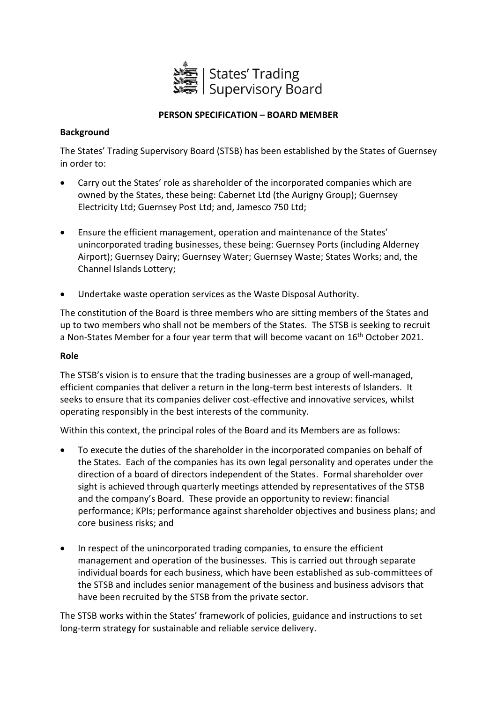

# **PERSON SPECIFICATION – BOARD MEMBER**

## **Background**

The States' Trading Supervisory Board (STSB) has been established by the States of Guernsey in order to:

- Carry out the States' role as shareholder of the incorporated companies which are owned by the States, these being: Cabernet Ltd (the Aurigny Group); Guernsey Electricity Ltd; Guernsey Post Ltd; and, Jamesco 750 Ltd;
- Ensure the efficient management, operation and maintenance of the States' unincorporated trading businesses, these being: Guernsey Ports (including Alderney Airport); Guernsey Dairy; Guernsey Water; Guernsey Waste; States Works; and, the Channel Islands Lottery;
- Undertake waste operation services as the Waste Disposal Authority.

The constitution of the Board is three members who are sitting members of the States and up to two members who shall not be members of the States. The STSB is seeking to recruit a Non-States Member for a four year term that will become vacant on 16<sup>th</sup> October 2021.

#### **Role**

The STSB's vision is to ensure that the trading businesses are a group of well-managed, efficient companies that deliver a return in the long-term best interests of Islanders. It seeks to ensure that its companies deliver cost-effective and innovative services, whilst operating responsibly in the best interests of the community.

Within this context, the principal roles of the Board and its Members are as follows:

- To execute the duties of the shareholder in the incorporated companies on behalf of the States. Each of the companies has its own legal personality and operates under the direction of a board of directors independent of the States. Formal shareholder over sight is achieved through quarterly meetings attended by representatives of the STSB and the company's Board. These provide an opportunity to review: financial performance; KPIs; performance against shareholder objectives and business plans; and core business risks; and
- In respect of the unincorporated trading companies, to ensure the efficient management and operation of the businesses. This is carried out through separate individual boards for each business, which have been established as sub-committees of the STSB and includes senior management of the business and business advisors that have been recruited by the STSB from the private sector.

The STSB works within the States' framework of policies, guidance and instructions to set long-term strategy for sustainable and reliable service delivery.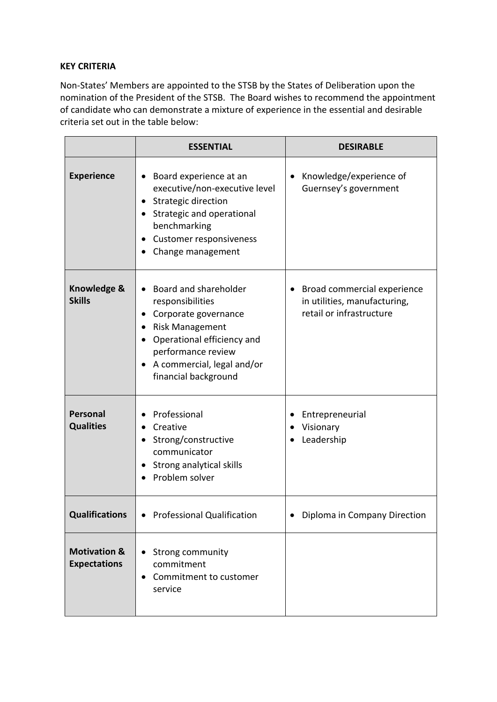## **KEY CRITERIA**

Non-States' Members are appointed to the STSB by the States of Deliberation upon the nomination of the President of the STSB. The Board wishes to recommend the appointment of candidate who can demonstrate a mixture of experience in the essential and desirable criteria set out in the table below:

|                                                | <b>ESSENTIAL</b>                                                                                                                                                                                           | <b>DESIRABLE</b>                                                                          |
|------------------------------------------------|------------------------------------------------------------------------------------------------------------------------------------------------------------------------------------------------------------|-------------------------------------------------------------------------------------------|
| <b>Experience</b>                              | Board experience at an<br>executive/non-executive level<br>Strategic direction<br>Strategic and operational<br>benchmarking<br>Customer responsiveness<br>Change management                                | Knowledge/experience of<br>$\bullet$<br>Guernsey's government                             |
| Knowledge &<br><b>Skills</b>                   | Board and shareholder<br>responsibilities<br>Corporate governance<br>٠<br><b>Risk Management</b><br>Operational efficiency and<br>performance review<br>A commercial, legal and/or<br>financial background | • Broad commercial experience<br>in utilities, manufacturing,<br>retail or infrastructure |
| Personal<br><b>Qualities</b>                   | Professional<br>Creative<br>Strong/constructive<br>$\bullet$<br>communicator<br>Strong analytical skills<br>Problem solver                                                                                 | Entrepreneurial<br>Visionary<br>Leadership                                                |
| <b>Qualifications</b>                          | <b>Professional Qualification</b>                                                                                                                                                                          | Diploma in Company Direction                                                              |
| <b>Motivation &amp;</b><br><b>Expectations</b> | Strong community<br>commitment<br>Commitment to customer<br>service                                                                                                                                        |                                                                                           |